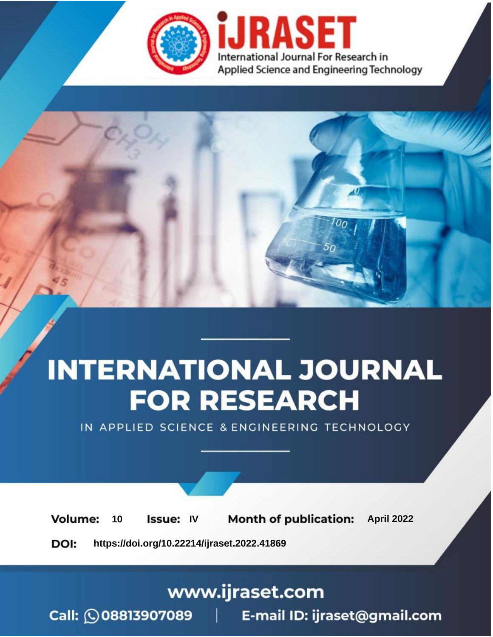

# **INTERNATIONAL JOURNAL FOR RESEARCH**

IN APPLIED SCIENCE & ENGINEERING TECHNOLOGY

10 **Issue: IV Month of publication:** April 2022 **Volume:** 

**https://doi.org/10.22214/ijraset.2022.41869**DOI:

www.ijraset.com

Call: 008813907089 | E-mail ID: ijraset@gmail.com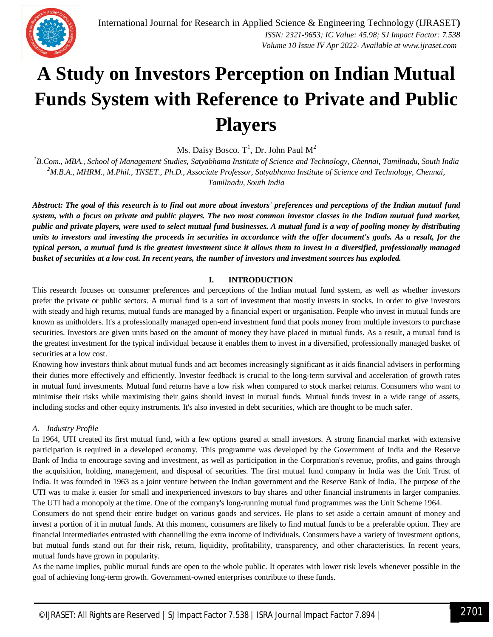

## **A Study on Investors Perception on Indian Mutual Funds System with Reference to Private and Public Players**

Ms. Daisy Bosco.  $\operatorname{T}^1$ , Dr. John Paul  $\operatorname{M}^2$ 

*<sup>1</sup>B.Com., MBA., School of Management Studies, Satyabhama Institute of Science and Technology, Chennai, Tamilnadu, South India <sup>2</sup>M.B.A., MHRM., M.Phil., TNSET., Ph.D., Associate Professor, Satyabhama Institute of Science and Technology, Chennai, Tamilnadu, South India*

*Abstract: The goal of this research is to find out more about investors' preferences and perceptions of the Indian mutual fund system, with a focus on private and public players. The two most common investor classes in the Indian mutual fund market, public and private players, were used to select mutual fund businesses. A mutual fund is a way of pooling money by distributing units to investors and investing the proceeds in securities in accordance with the offer document's goals. As a result, for the typical person, a mutual fund is the greatest investment since it allows them to invest in a diversified, professionally managed basket of securities at a low cost. In recent years, the number of investors and investment sources has exploded.*

## **I. INTRODUCTION**

This research focuses on consumer preferences and perceptions of the Indian mutual fund system, as well as whether investors prefer the private or public sectors. A mutual fund is a sort of investment that mostly invests in stocks. In order to give investors with steady and high returns, mutual funds are managed by a financial expert or organisation. People who invest in mutual funds are known as unitholders. It's a professionally managed open-end investment fund that pools money from multiple investors to purchase securities. Investors are given units based on the amount of money they have placed in mutual funds. As a result, a mutual fund is the greatest investment for the typical individual because it enables them to invest in a diversified, professionally managed basket of securities at a low cost.

Knowing how investors think about mutual funds and act becomes increasingly significant as it aids financial advisers in performing their duties more effectively and efficiently. Investor feedback is crucial to the long-term survival and acceleration of growth rates in mutual fund investments. Mutual fund returns have a low risk when compared to stock market returns. Consumers who want to minimise their risks while maximising their gains should invest in mutual funds. Mutual funds invest in a wide range of assets, including stocks and other equity instruments. It's also invested in debt securities, which are thought to be much safer.

## *A. Industry Profile*

In 1964, UTI created its first mutual fund, with a few options geared at small investors. A strong financial market with extensive participation is required in a developed economy. This programme was developed by the Government of India and the Reserve Bank of India to encourage saving and investment, as well as participation in the Corporation's revenue, profits, and gains through the acquisition, holding, management, and disposal of securities. The first mutual fund company in India was the Unit Trust of India. It was founded in 1963 as a joint venture between the Indian government and the Reserve Bank of India. The purpose of the UTI was to make it easier for small and inexperienced investors to buy shares and other financial instruments in larger companies. The UTI had a monopoly at the time. One of the company's long-running mutual fund programmes was the Unit Scheme 1964.

Consumers do not spend their entire budget on various goods and services. He plans to set aside a certain amount of money and invest a portion of it in mutual funds. At this moment, consumers are likely to find mutual funds to be a preferable option. They are financial intermediaries entrusted with channelling the extra income of individuals. Consumers have a variety of investment options, but mutual funds stand out for their risk, return, liquidity, profitability, transparency, and other characteristics. In recent years, mutual funds have grown in popularity.

As the name implies, public mutual funds are open to the whole public. It operates with lower risk levels whenever possible in the goal of achieving long-term growth. Government-owned enterprises contribute to these funds.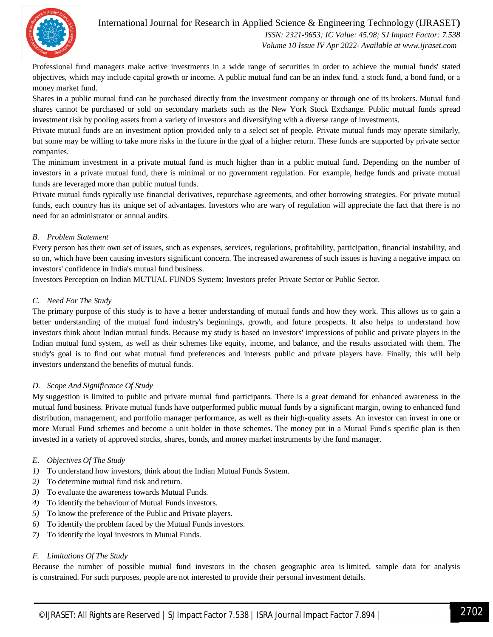

## International Journal for Research in Applied Science & Engineering Technology (IJRASET**)**  *ISSN: 2321-9653; IC Value: 45.98; SJ Impact Factor: 7.538*

 *Volume 10 Issue IV Apr 2022- Available at www.ijraset.com*

Professional fund managers make active investments in a wide range of securities in order to achieve the mutual funds' stated objectives, which may include capital growth or income. A public mutual fund can be an index fund, a stock fund, a bond fund, or a money market fund.

Shares in a public mutual fund can be purchased directly from the investment company or through one of its brokers. Mutual fund shares cannot be purchased or sold on secondary markets such as the New York Stock Exchange. Public mutual funds spread investment risk by pooling assets from a variety of investors and diversifying with a diverse range of investments.

Private mutual funds are an investment option provided only to a select set of people. Private mutual funds may operate similarly, but some may be willing to take more risks in the future in the goal of a higher return. These funds are supported by private sector companies.

The minimum investment in a private mutual fund is much higher than in a public mutual fund. Depending on the number of investors in a private mutual fund, there is minimal or no government regulation. For example, hedge funds and private mutual funds are leveraged more than public mutual funds.

Private mutual funds typically use financial derivatives, repurchase agreements, and other borrowing strategies. For private mutual funds, each country has its unique set of advantages. Investors who are wary of regulation will appreciate the fact that there is no need for an administrator or annual audits.

## *B. Problem Statement*

Every person has their own set of issues, such as expenses, services, regulations, profitability, participation, financial instability, and so on, which have been causing investors significant concern. The increased awareness of such issues is having a negative impact on investors' confidence in India's mutual fund business.

Investors Perception on Indian MUTUAL FUNDS System: Investors prefer Private Sector or Public Sector.

## *C. Need For The Study*

The primary purpose of this study is to have a better understanding of mutual funds and how they work. This allows us to gain a better understanding of the mutual fund industry's beginnings, growth, and future prospects. It also helps to understand how investors think about Indian mutual funds. Because my study is based on investors' impressions of public and private players in the Indian mutual fund system, as well as their schemes like equity, income, and balance, and the results associated with them. The study's goal is to find out what mutual fund preferences and interests public and private players have. Finally, this will help investors understand the benefits of mutual funds.

## *D. Scope And Significance Of Study*

My suggestion is limited to public and private mutual fund participants. There is a great demand for enhanced awareness in the mutual fund business. Private mutual funds have outperformed public mutual funds by a significant margin, owing to enhanced fund distribution, management, and portfolio manager performance, as well as their high-quality assets. An investor can invest in one or more Mutual Fund schemes and become a unit holder in those schemes. The money put in a Mutual Fund's specific plan is then invested in a variety of approved stocks, shares, bonds, and money market instruments by the fund manager.

## *E. Objectives Of The Study*

- *1)* To understand how investors, think about the Indian Mutual Funds System.
- *2)* To determine mutual fund risk and return.
- *3)* To evaluate the awareness towards Mutual Funds.
- *4)* To identify the behaviour of Mutual Funds investors.
- *5)* To know the preference of the Public and Private players.
- *6)* To identify the problem faced by the Mutual Funds investors.
- *7)* To identify the loyal investors in Mutual Funds.

#### *F. Limitations Of The Study*

Because the number of possible mutual fund investors in the chosen geographic area is limited, sample data for analysis is constrained. For such purposes, people are not interested to provide their personal investment details.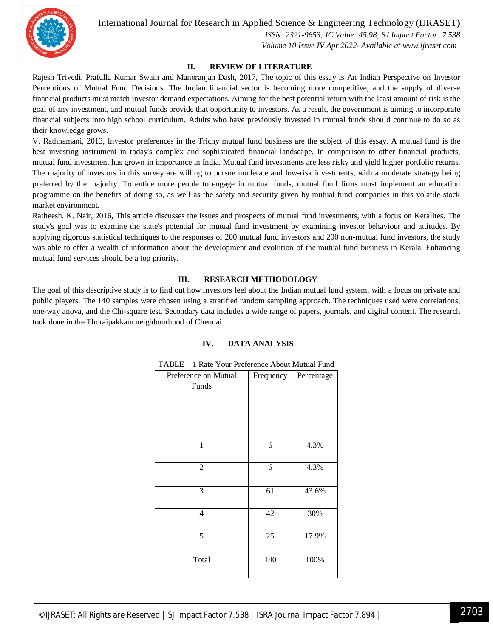

 *ISSN: 2321-9653; IC Value: 45.98; SJ Impact Factor: 7.538 Volume 10 Issue IV Apr 2022- Available at www.ijraset.com*

### **II. REVIEW OF LITERATURE**

Rajesh Trivedi, Prafulla Kumar Swain and Manoranjan Dash, 2017, The topic of this essay is An Indian Perspective on Investor Perceptions of Mutual Fund Decisions. The Indian financial sector is becoming more competitive, and the supply of diverse financial products must match investor demand expectations. Aiming for the best potential return with the least amount of risk is the goal of any investment, and mutual funds provide that opportunity to investors. As a result, the government is aiming to incorporate financial subjects into high school curriculum. Adults who have previously invested in mutual funds should continue to do so as their knowledge grows.

V. Rathnamani, 2013, Investor preferences in the Trichy mutual fund business are the subject of this essay. A mutual fund is the best investing instrument in today's complex and sophisticated financial landscape. In comparison to other financial products, mutual fund investment has grown in importance in India. Mutual fund investments are less risky and yield higher portfolio returns. The majority of investors in this survey are willing to pursue moderate and low-risk investments, with a moderate strategy being preferred by the majority. To entice more people to engage in mutual funds, mutual fund firms must implement an education programme on the benefits of doing so, as well as the safety and security given by mutual fund companies in this volatile stock market environment.

Ratheesh. K. Nair, 2016, This article discusses the issues and prospects of mutual fund investments, with a focus on Keralites. The study's goal was to examine the state's potential for mutual fund investment by examining investor behaviour and attitudes. By applying rigorous statistical techniques to the responses of 200 mutual fund investors and 200 non-mutual fund investors, the study was able to offer a wealth of information about the development and evolution of the mutual fund business in Kerala. Enhancing mutual fund services should be a top priority.

## **III. RESEARCH METHODOLOGY**

The goal of this descriptive study is to find out how investors feel about the Indian mutual fund system, with a focus on private and public players. The 140 samples were chosen using a stratified random sampling approach. The techniques used were correlations, one-way anova, and the Chi-square test. Secondary data includes a wide range of papers, journals, and digital content. The research took done in the Thoraipakkam neighbourhood of Chennai.

#### **IV. DATA ANALYSIS**

| Preference on Mutual<br>Funds | Frequency | Percentage |
|-------------------------------|-----------|------------|
| 1                             | 6         | 4.3%       |
| $\overline{2}$                | 6         | 4.3%       |
| 3                             | 61        | 43.6%      |
| 4                             | 42        | 30%        |
| 5                             | 25        | 17.9%      |
| Total                         | 140       | 100%       |

#### TABLE – 1 Rate Your Preference About Mutual Fund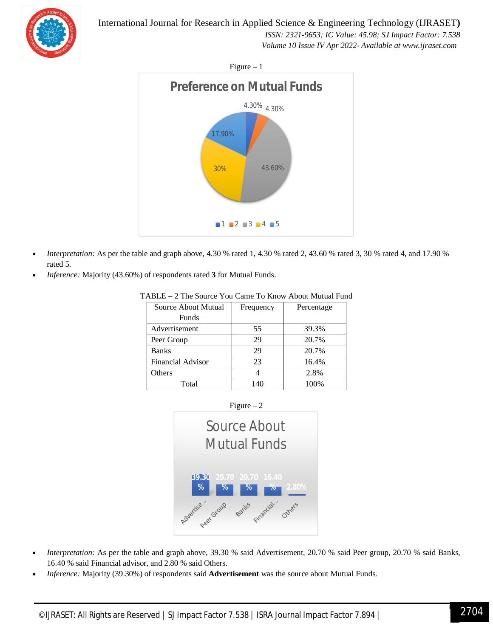*ISSN: 2321-9653; IC Value: 45.98; SJ Impact Factor: 7.538 Volume 10 Issue IV Apr 2022- Available at www.ijraset.com*

 $Figure - 1$ 



- *Interpretation:* As per the table and graph above, 4.30 % rated 1, 4.30 % rated 2, 43.60 % rated 3, 30 % rated 4, and 17.90 % rated 5.
- *Inference:* Majority (43.60%) of respondents rated **3** for Mutual Funds.

| Source About Mutual | Frequency | Percentage |
|---------------------|-----------|------------|
| Funds               |           |            |
| Advertisement       | 55        | 39.3%      |
| Peer Group          | 29        | 20.7%      |
| <b>Banks</b>        | 29        | 20.7%      |
| Financial Advisor   | 23        | 16.4%      |
| Others              |           | 2.8%       |
| Total               | 140       | 100%       |

TABLE – 2 The Source You Came To Know About Mutual Fund





- *Interpretation:* As per the table and graph above, 39.30 % said Advertisement, 20.70 % said Peer group, 20.70 % said Banks, 16.40 % said Financial advisor, and 2.80 % said Others.
- *Inference:* Majority (39.30%) of respondents said **Advertisement** was the source about Mutual Funds.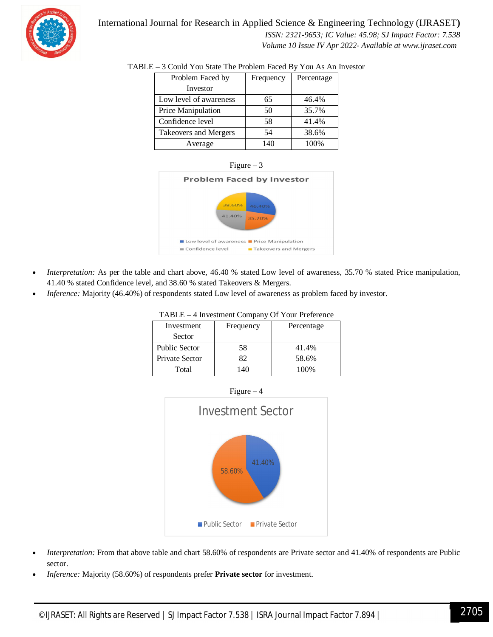

 *ISSN: 2321-9653; IC Value: 45.98; SJ Impact Factor: 7.538 Volume 10 Issue IV Apr 2022- Available at www.ijraset.com*

| Problem Faced by       | Frequency | Percentage |
|------------------------|-----------|------------|
| Investor               |           |            |
| Low level of awareness | 65        | 46.4%      |
| Price Manipulation     | 50        | 35.7%      |
| Confidence level       | 58        | 41.4%      |
| Takeovers and Mergers  | 54        | 38.6%      |
| Average                | 140       | 100%       |

## TABLE – 3 Could You State The Problem Faced By You As An Investor





- *Interpretation:* As per the table and chart above, 46.40 % stated Low level of awareness, 35.70 % stated Price manipulation, 41.40 % stated Confidence level, and 38.60 % stated Takeovers & Mergers.
- *Inference:* Majority (46.40%) of respondents stated Low level of awareness as problem faced by investor.

| Investment            | Frequency    | Percentage |
|-----------------------|--------------|------------|
| Sector                |              |            |
| <b>Public Sector</b>  | 58           | 41.4%      |
| <b>Private Sector</b> | 82           | 58.6%      |
| Total                 | $40^{\circ}$ | 100%       |

#### TABLE – 4 Investment Company Of Your Preference



- *Interpretation:* From that above table and chart 58.60% of respondents are Private sector and 41.40% of respondents are Public sector.
- *Inference:* Majority (58.60%) of respondents prefer **Private sector** for investment.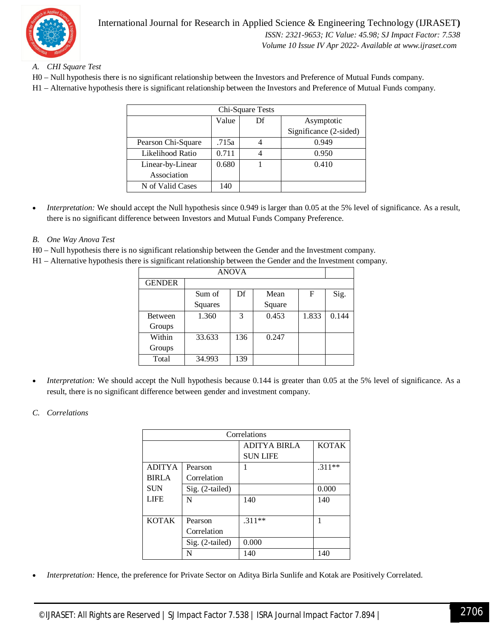

## *A. CHI Square Test*

- H0 Null hypothesis there is no significant relationship between the Investors and Preference of Mutual Funds company.
- H1 Alternative hypothesis there is significant relationship between the Investors and Preference of Mutual Funds company.

| Chi-Square Tests   |       |    |                        |  |
|--------------------|-------|----|------------------------|--|
|                    | Value | Df | Asymptotic             |  |
|                    |       |    | Significance (2-sided) |  |
| Pearson Chi-Square | .715a |    | 0.949                  |  |
| Likelihood Ratio   | 0.711 |    | 0.950                  |  |
| Linear-by-Linear   | 0.680 |    | 0.410                  |  |
| Association        |       |    |                        |  |
| N of Valid Cases   | 140   |    |                        |  |

*Interpretation:* We should accept the Null hypothesis since 0.949 is larger than 0.05 at the 5% level of significance. As a result, there is no significant difference between Investors and Mutual Funds Company Preference.

## *B. One Way Anova Test*

- H0 Null hypothesis there is no significant relationship between the Gender and the Investment company.
- H1 Alternative hypothesis there is significant relationship between the Gender and the Investment company.

| <b>ANOVA</b>  |         |     |        |       |       |
|---------------|---------|-----|--------|-------|-------|
| <b>GENDER</b> |         |     |        |       |       |
|               | Sum of  | Df  | Mean   | F     | Sig.  |
|               | Squares |     | Square |       |       |
| Between       | 1.360   | 3   | 0.453  | 1.833 | 0.144 |
| Groups        |         |     |        |       |       |
| Within        | 33.633  | 136 | 0.247  |       |       |
| Groups        |         |     |        |       |       |
| Total         | 34.993  | 139 |        |       |       |

*Interpretation:* We should accept the Null hypothesis because 0.144 is greater than 0.05 at the 5% level of significance. As a result, there is no significant difference between gender and investment company.

## *C. Correlations*

| Correlations  |                 |                     |              |
|---------------|-----------------|---------------------|--------------|
|               |                 | <b>ADITYA BIRLA</b> | <b>KOTAK</b> |
|               |                 | <b>SUN LIFE</b>     |              |
| <b>ADITYA</b> | Pearson         |                     | $.311**$     |
| <b>BIRLA</b>  | Correlation     |                     |              |
| <b>SUN</b>    | Sig. (2-tailed) |                     | 0.000        |
| <b>LIFE</b>   | N               | 140                 | 140          |
|               |                 |                     |              |
| <b>KOTAK</b>  | Pearson         | $.311**$            | 1            |
|               | Correlation     |                     |              |
|               | Sig. (2-tailed) | 0.000               |              |
|               | N               | 140                 | 140          |

*Interpretation:* Hence, the preference for Private Sector on Aditya Birla Sunlife and Kotak are Positively Correlated.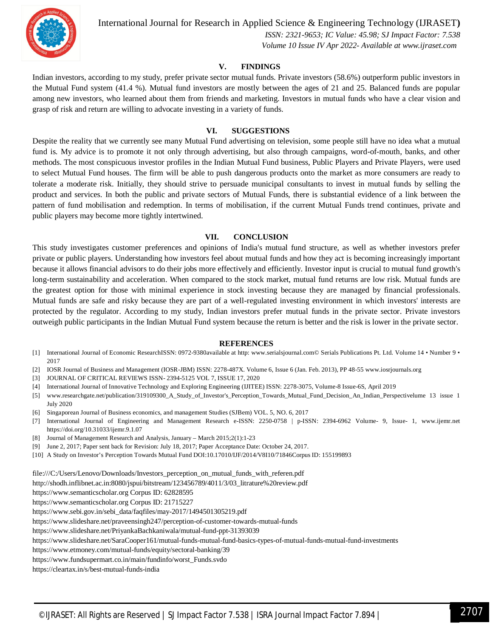

 *ISSN: 2321-9653; IC Value: 45.98; SJ Impact Factor: 7.538 Volume 10 Issue IV Apr 2022- Available at www.ijraset.com*

#### **V. FINDINGS**

Indian investors, according to my study, prefer private sector mutual funds. Private investors (58.6%) outperform public investors in the Mutual Fund system (41.4 %). Mutual fund investors are mostly between the ages of 21 and 25. Balanced funds are popular among new investors, who learned about them from friends and marketing. Investors in mutual funds who have a clear vision and grasp of risk and return are willing to advocate investing in a variety of funds.

#### **VI. SUGGESTIONS**

Despite the reality that we currently see many Mutual Fund advertising on television, some people still have no idea what a mutual fund is. My advice is to promote it not only through advertising, but also through campaigns, word-of-mouth, banks, and other methods. The most conspicuous investor profiles in the Indian Mutual Fund business, Public Players and Private Players, were used to select Mutual Fund houses. The firm will be able to push dangerous products onto the market as more consumers are ready to tolerate a moderate risk. Initially, they should strive to persuade municipal consultants to invest in mutual funds by selling the product and services. In both the public and private sectors of Mutual Funds, there is substantial evidence of a link between the pattern of fund mobilisation and redemption. In terms of mobilisation, if the current Mutual Funds trend continues, private and public players may become more tightly intertwined.

#### **VII. CONCLUSION**

This study investigates customer preferences and opinions of India's mutual fund structure, as well as whether investors prefer private or public players. Understanding how investors feel about mutual funds and how they act is becoming increasingly important because it allows financial advisors to do their jobs more effectively and efficiently. Investor input is crucial to mutual fund growth's long-term sustainability and acceleration. When compared to the stock market, mutual fund returns are low risk. Mutual funds are the greatest option for those with minimal experience in stock investing because they are managed by financial professionals. Mutual funds are safe and risky because they are part of a well-regulated investing environment in which investors' interests are protected by the regulator. According to my study, Indian investors prefer mutual funds in the private sector. Private investors outweigh public participants in the Indian Mutual Fund system because the return is better and the risk is lower in the private sector.

#### **REFERENCES**

- [1] International Journal of Economic ResearchISSN: 0972-9380available at http: www.serialsjournal.com© Serials Publications Pt. Ltd. Volume 14 Number 9 2017
- [2] IOSR Journal of Business and Management (IOSR-JBM) ISSN: 2278-487X. Volume 6, Issue 6 (Jan. Feb. 2013), PP 48-55 www.iosrjournals.org
- [3] JOURNAL OF CRITICAL REVIEWS ISSN- 2394-5125 VOL 7, ISSUE 17, 2020
- [4] International Journal of Innovative Technology and Exploring Engineering (IJITEE) ISSN: 2278-3075, Volume-8 Issue-6S, April 2019
- [5] www.researchgate.net/publication/319109300\_A\_Study\_of\_Investor's\_Perception\_Towards\_Mutual\_Fund\_Decision\_An\_Indian\_Perspectivelume 13 issue 1 July 2020
- [6] Singaporean Journal of Business economics, and management Studies (SJBem) VOL. 5, NO. 6, 2017
- [7] International Journal of Engineering and Management Research e-ISSN: 2250-0758 | p-ISSN: 2394-6962 Volume- 9, Issue- 1, www.ijemr.net https://doi.org/10.31033/ijemr.9.1.07
- [8] Journal of Management Research and Analysis, January March 2015;2(1):1-23
- [9] June 2, 2017; Paper sent back for Revision: July 18, 2017; Paper Acceptance Date: October 24, 2017.
- [10] A Study on Investor's Perception Towards Mutual Fund DOI:10.17010/IJF/2014/V8I10/71846Corpus ID: 155199893

file:///C:/Users/Lenovo/Downloads/Investors\_perception\_on\_mutual\_funds\_with\_referen.pdf

http://shodh.inflibnet.ac.in:8080/jspui/bitstream/123456789/4011/3/03\_litrature%20review.pdf

https://www.semanticscholar.org Corpus ID: 62828595

https://www.semanticscholar.org Corpus ID: 21715227

https://www.sebi.gov.in/sebi\_data/faqfiles/may-2017/1494501305219.pdf

https://www.slideshare.net/praveensingh247/perception-of-customer-towards-mutual-funds

https://www.slideshare.net/PriyankaBachkaniwala/mutual-fund-ppt-31393039

https://www.slideshare.net/SaraCooper161/mutual-funds-mutual-fund-basics-types-of-mutual-funds-mutual-fund-investments

https://www.etmoney.com/mutual-funds/equity/sectoral-banking/39

https://www.fundsupermart.co.in/main/fundinfo/worst\_Funds.svdo

https://cleartax.in/s/best-mutual-funds-india